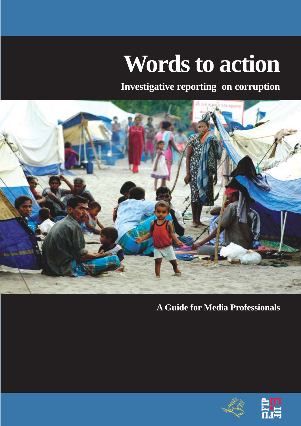# **Words to action**

**Investigative reporting on corruption**



**A Guide for Media Professionals**



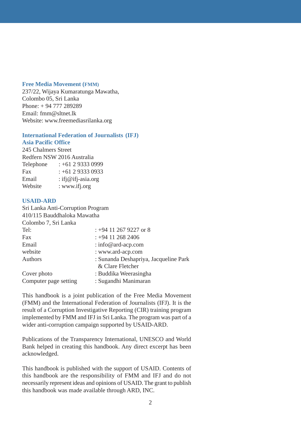### **Free Media Movement (FMM)**

237/22, Wijaya Kumaratunga Mawatha, Colombo 05, Sri Lanka Phone: + 94 777 289289 Email: fmm@sltnet.lk Website: www.freemediasrilanka.org

### **International Federation of Journalists (IFJ)**

### **Asia Pacific Office**

245 Chalmers Street Redfern NSW 2016 Australia Telephone : +61 2 9333 0999 Fax  $: +61293330933$ Email : ifj@ifj-asia.org Website : www.ifj.org

### **USAID-ARD**

| Sri Lanka Anti-Corruption Program |                                       |
|-----------------------------------|---------------------------------------|
| 410/115 Bauddhaloka Mawatha       |                                       |
| Colombo 7, Sri Lanka              |                                       |
| Tel:                              | $: +94$ 11 267 9227 or 8              |
| Fax                               | $: +94$ 11 268 2406                   |
| Email                             | : info@ard-acp.com                    |
| website                           | : www.ard-acp.com                     |
| Authors                           | : Sunanda Deshapriya, Jacqueline Park |
|                                   | & Clare Fletcher                      |
| Cover photo                       | : Buddika Weerasingha                 |
| Computer page setting             | : Sugandhi Manimaran                  |

This handbook is a joint publication of the Free Media Movement (FMM) and the International Federation of Journalists (IFJ). It is the result of a Corruption Investigative Reporting (CIR) training program implemented by FMM and IFJ in Sri Lanka. The program was part of a wider anti-corruption campaign supported by USAID-ARD.

Publications of the Transparency International, UNESCO and World Bank helped in creating this handbook. Any direct excerpt has been acknowledged.

This handbook is published with the support of USAID. Contents of this handbook are the responsibility of FMM and IFJ and do not necessarily represent ideas and opinions of USAID. The grant to publish this handbook was made available through ARD, INC.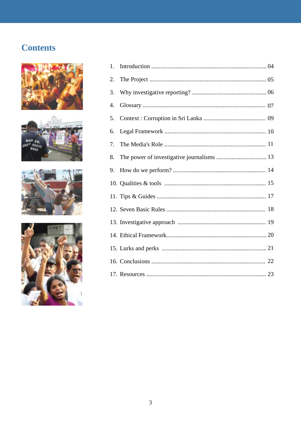### **Contents**









| 1. |  |
|----|--|
| 2. |  |
| 3. |  |
| 4. |  |
| 5. |  |
| 6. |  |
| 7. |  |
| 8. |  |
| 9. |  |
|    |  |
|    |  |
|    |  |
|    |  |
|    |  |
|    |  |
|    |  |
|    |  |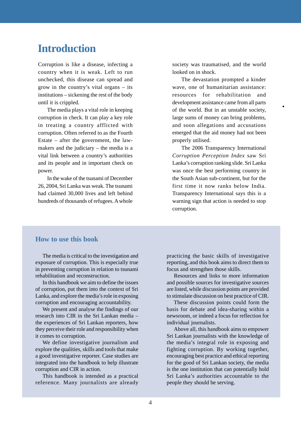### **Introduction**

Corruption is like a disease, infecting a country when it is weak. Left to run unchecked, this disease can spread and grow in the country's vital organs – its institutions – sickening the rest of the body until it is crippled.

The media plays a vital role in keeping corruption in check. It can play a key role in treating a country afflicted with corruption. Often referred to as the Fourth Estate – after the government, the lawmakers and the judiciary – the media is a vital link between a country's authorities and its people and in important check on power.

In the wake of the tsunami of December 26, 2004, Sri Lanka was weak. The tsunami had claimed 30,000 lives and left behind hundreds of thousands of refugees. A whole

society was traumatised, and the world looked on in shock.

The devastation prompted a kinder wave, one of humanitarian assistance: resources for rehabilitation and development assistance came from all parts of the world. But in an unstable society, large sums of money can bring problems, and soon allegations and accusations emerged that the aid money had not been properly utilised.

 $\bullet$ 

The 2006 Transparency International *Corruption Perception Index* saw Sri Lanka's corruption ranking slide. Sri Lanka was once the best performing country in the South Asian sub-continent, but for the first time it now ranks below India. Transparency International says this is a warning sign that action is needed to stop corruption.

### **How to use this book**

The media is critical to the investigation and exposure of corruption. This is especially true in preventing corruption in relation to tsunami rehabilitation and reconstruction.

In this handbook we aim to define the issues of corruption, put them into the context of Sri Lanka, and explore the media's role in exposing corruption and encouraging accountability.

We present and analyse the findings of our research into CIR in the Sri Lankan media – the experiences of Sri Lankan reporters, how they perceive their role and responsibility when it comes to corruption.

We define investigative journalism and explore the qualities, skills and tools that make a good investigative reporter. Case studies are integrated into the handbook to help illustrate corruption and CIR in action.

This handbook is intended as a practical reference. Many journalists are already practicing the basic skills of investigative reporting, and this book aims to direct them to focus and strengthen those skills.

Resources and links to more information and possible sources for investigative sources are listed, while discussion points are provided to stimulate discussion on best practice of CIR.

These discussion points could form the basis for debate and idea-sharing within a newsroom, or indeed a focus for reflection for individual journalists.

Above all, this handbook aims to empower Sri Lankan journalists with the knowledge of the media's integral role in exposing and fighting corruption. By working together, encouraging best practice and ethical reporting for the good of Sri Lankan society, the media is the one institution that can potentially hold Sri Lanka's authorities accountable to the people they should be serving.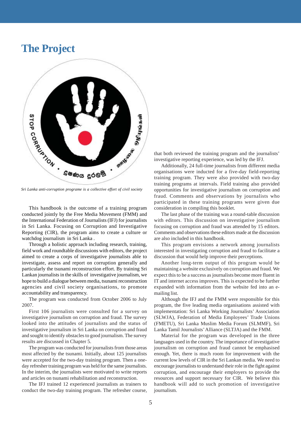### **The Project**



*Sri Lanka anti-corruption programe is a collective effort of civil society*

This handbook is the outcome of a training program conducted jointly by the Free Media Movement (FMM) and the International Federation of Journalists (IFJ) for journalists in Sri Lanka. Focusing on Corruption and Investigative Reporting (CIR), the program aims to create a culture or watchdog journalism in Sri Lanka .

Through a holistic approach including research, training, field work and roundtable discussions with editors, the project aimed to create a corps of investigative journalists able to investigate, assess and report on corruption generally and particularly the tsunami reconstruction effort. By training Sri Lankan journalists in the skills of investigative journalism, we hope to build a dialogue between media, tsunami reconstruction agencies and civil society organisations, to promote accountability and transparency.

The program was conducted from October 2006 to July 2007.

First 106 journalists were consulted for a survey on investigative journalism on corruption and fraud. The survey looked into the attitudes of journalists and the status of investigative journalism in Sri Lanka on corruption and fraud and sought to identify obstacles to good journalism. The survey results are discussed in Chapter 5.

The program was conducted for journalists from those areas most affected by the tsunami. Initially, about 125 journalists were accepted for the two-day training program. Then a oneday refresher training program was held for the same journalists. In the interim, the journalists were motivated to write reports and articles on tsunami rehabilitation and reconstruction.

The IFJ trained 12 experienced journalists as trainers to conduct the two-day training program. The refresher course,

that both reviewed the training program and the journalists' investigative reporting experience, was led by the IFJ.

Additionally, 24 full-time journalists from different media organisations were inducted for a five-day field-reporting training program. They were also provided with two-day training programs at intervals. Field training also provided opportunities for investigative journalism on corruption and fraud. Comments and observations by journalists who participated in these training programs were given due consideration in compiling this booklet.

The last phase of the training was a round-table discussion with editors. This discussion on investigative journalism focusing on corruption and fraud was attended by 15 editors. Comments and observations these editors made at the discussion are also included in this handbook.

This program envisions a network among journalists interested in investigating corruption and fraud to facilitate a discussion that would help improve their perceptions.

Another long-term output of this program would be maintaining a website exclusively on corruption and fraud. We expect this to be a success as journalists become more fluent in IT and internet access improves. This is expected to be further expanded with information from the website fed into an emailing list.

Although the IFJ and the FMM were responsible for this program, the five leading media organisations assisted with implementation: Sri Lanka Working Journalists' Association (SLWJA), Federation of Media Employees' Trade Unions (FMETU), Sri Lanka Muslim Media Forum (SLMMF), Sri Lanka Tamil Journalists' Alliance (SLTJA) and the FMM.

Material for the program was developed in the three languages used in the country. The importance of investigative journalism on corruption and fraud cannot be emphasised enough. Yet, there is much room for improvement with the current low levels of CIR in the Sri Lankan media. We need to encourage journalists to understand their role in the fight against corruption, and encourage their employers to provide the resources and support necessary for CIR. We believe this handbook will add to such promotion of investigative journalism.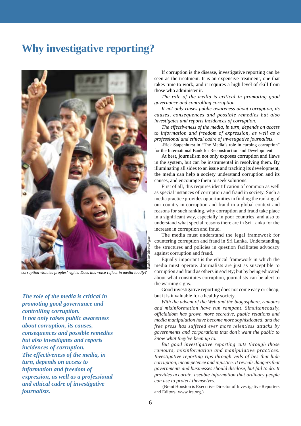### **Why investigative reporting?**

![](_page_5_Picture_1.jpeg)

*corruption violates proples' rights. Does this voice reflect in media loudly?*

*The role of the media is critical in promoting good governance and controlling corruption. It not only raises public awareness about corruption, its causes, consequences and possible remedies but also investigates and reports incidences of corruption. The effectiveness of the media, in turn, depends on access to information and freedom of expression, as well as a professional and ethical cadre of investigative journalists.*

If corruption is the disease, investigative reporting can be seen as the treatment. It is an expensive treatment, one that takes time to work, and it requires a high level of skill from those who administer it.

*The role of the media is critical in promoting good governance and controlling corruption.*

*It not only raises public awareness about corruption, its causes, consequences and possible remedies but also investigates and reports incidences of corruption.*

*The effectiveness of the media, in turn, depends on access to information and freedom of expression, as well as a professional and ethical cadre of investigative journalists.*

-Rick Stapenhurst in "The Media's role in curbing corruption" for the International Bank for Reconstruction and Development

At best, journalism not only exposes corruption and flaws in the system, but can be instrumental in resolving them. By illuminating all sides to an issue and tracking its development, the media can help a society understand corruption and its causes, and encourage them to seek solutions.

First of all, this requires identification of common as well as special instances of corruption and fraud in society. Such a media practice provides opportunities in finding the ranking of our country in corruption and fraud in a global context and reasons for such ranking, why corruption and fraud take place in a significant way, especially in poor countries, and also to understand what special reasons there are in Sri Lanka for the increase in corruption and fraud.

The media must understand the legal framework for countering corruption and fraud in Sri Lanka. Understanding the structures and policies in question facilitates advocacy against corruption and fraud.

Equally important is the ethical framework in which the media must operate. Journalists are just as susceptible to corruption and fraud as others in society; but by being educated about what constitutes corruption, journalists can be alert to the warning signs.

Good investigative reporting does not come easy or cheap, but it is invaluable for a healthy society.

*With the advent of the Web and the blogosphere, rumours and misinformation have run rampant. Simultaneously, officialdom has grown more secretive, public relations and media manipulation have become more sophisticated, and the free press has suffered ever more relentless attacks by governments and corporations that don't want the public to know what they've been up to.*

*But good investigative reporting cuts through those rumours, misinformation and manipulative practices. Investigative reporting rips through veils of lies that hide corruption, incompetence and injustice. It reveals dangers that governments and businesses should disclose, but fail to do. It provides accurate, useable information that ordinary people can use to protect themselves.*

 (Brant Houston is Executive Director of Investigative Reporters and Editors. www.ire.org.)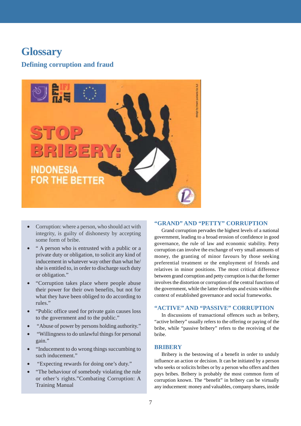### **Glossary**

### **Defining corruption and fraud**

![](_page_6_Picture_2.jpeg)

- Corruption: where a person, who should act with integrity, is guilty of dishonesty by accepting some form of bribe.
- " A person who is entrusted with a public or a private duty or obligation, to solicit any kind of inducement in whatever way other than what he/ she is entitled to, in order to discharge such duty or obligation."
- "Corruption takes place where people abuse their power for their own benefits, but not for what they have been obliged to do according to rules."
- "Public office used for private gain causes loss to the government and to the public."
- "Abuse of power by persons holding authority."
- "Willingness to do unlawful things for personal gain."
- "Inducement to do wrong things succumbing to such inducement."
- "Expecting rewards for doing one's duty."
- "The behaviour of somebody violating the rule or other's rights."Combating Corruption: A Training Manual

#### **"GRAND" AND "PETTY" CORRUPTION**

Grand corruption pervades the highest levels of a national government, leading to a broad erosion of confidence in good governance, the rule of law and economic stability. Petty corruption can involve the exchange of very small amounts of money, the granting of minor favours by those seeking preferential treatment or the employment of friends and relatives in minor positions. The most critical difference between grand corruption and petty corruption is that the former involves the distortion or corruption of the central functions of the government, while the latter develops and exists within the context of established governance and social frameworks.

### **"ACTIVE" AND "PASSIVE" CORRUPTION**

In discussions of transactional offences such as bribery, "active bribery" usually refers to the offering or paying of the bribe, while "passive bribery" refers to the receiving of the bribe.

#### **BRIBERY**

Bribery is the bestowing of a benefit in order to unduly influence an action or decision. It can be initiated by a person who seeks or solicits bribes or by a person who offers and then pays bribes. Bribery is probably the most common form of corruption known. The "benefit" in bribery can be virtually any inducement: money and valuables, company shares, inside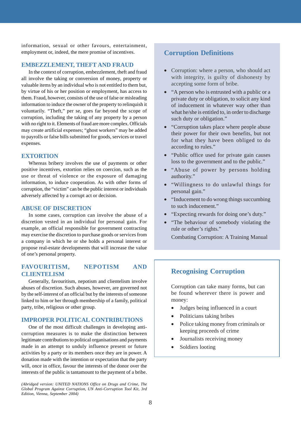information, sexual or other favours, entertainment, employment or, indeed, the mere promise of incentives.

### **EMBEZZLEMENT, THEFT AND FRAUD**

In the context of corruption, embezzlement, theft and fraud all involve the taking or conversion of money, property or valuable items by an individual who is not entitled to them but, by virtue of his or her position or employment, has access to them. Fraud, however, consists of the use of false or misleading information to induce the owner of the property to relinquish it voluntarily. "Theft," per se, goes far beyond the scope of corruption, including the taking of any property by a person with no right to it. Elements of fraud are more complex. Officials may create artificial expenses; "ghost workers" may be added to payrolls or false bills submitted for goods, services or travel expenses.

#### **EXTORTION**

Whereas bribery involves the use of payments or other positive incentives, extortion relies on coercion, such as the use or threat of violence or the exposure of damaging information, to induce cooperation. As with other forms of corruption, the "victim" can be the public interest or individuals adversely affected by a corrupt act or decision.

#### **ABUSE OF DISCRETION**

In some cases, corruption can involve the abuse of a discretion vested in an individual for personal gain. For example, an official responsible for government contracting may exercise the discretion to purchase goods or services from a company in which he or she holds a personal interest or propose real-estate developments that will increase the value of one's personal property.

### **FAVOURITISM, NEPOTISM AND CLIENTELISM**

Generally, favouritism, nepotism and clientelism involve abuses of discretion. Such abuses, however, are governed not by the self-interest of an official but by the interests of someone linked to him or her through membership of a family, political party, tribe, religious or other group.

### **IMPROPER POLITICAL CONTRIBUTIONS**

One of the most difficult challenges in developing anticorruption measures is to make the distinction between legitimate contributions to political organisations and payments made in an attempt to unduly influence present or future activities by a party or its members once they are in power. A donation made with the intention or expectation that the party will, once in office, favour the interests of the donor over the interests of the public is tantamount to the payment of a bribe.

*(Abridged version: UNITED NATIONS Office on Drugs and Crime, The Global Program Against Corruption, UN Anti-Corruption Tool Kit, 3rd Edition, Vienna, September 2004)*

### **Corruption Definitions**

- Corruption: where a person, who should act with integrity, is guilty of dishonesty by accepting some form of bribe.
- "A person who is entrusted with a public or a private duty or obligation, to solicit any kind of inducement in whatever way other than what he/she is entitled to, in order to discharge such duty or obligation."
- "Corruption takes place where people abuse their power for their own benefits, but not for what they have been obliged to do according to rules."
- "Public office used for private gain causes loss to the government and to the public."
- "Abuse of power by persons holding" authority."
- "Willingness to do unlawful things for personal gain."
- "Inducement to do wrong things succumbing to such inducement."
- "Expecting rewards for doing one's duty."
- "The behaviour of somebody violating the rule or other's rights." Combating Corruption: A Training Manual

**Recognising Corruption**

Corruption can take many forms, but can be found wherever there is power and money:

- Judges being influenced in a court
- Politicians taking bribes
- Police taking money from criminals or keeping proceeds of crime
- Journalists receiving money
- Soldiers looting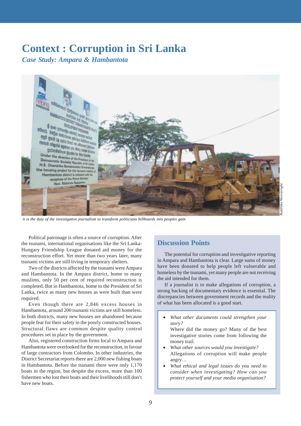### **Context : Corruption in Sri Lanka**

*Case Study: Ampara & Hambantota*

![](_page_8_Picture_2.jpeg)

 *it is the duty of the investigative journalism to transform politicians billboards into peoples gain*

Political patronage is often a source of corruption. After the tsunami, international organisations like the Sri Lanka-Hungary Friendship League donated aid money for the reconstruction effort. Yet more than two years later, many tsunami victims are still living in temporary shelters.

Two of the districts affected by the tsunami were Ampara and Hambantota. In the Ampara district, home to many muslims, only 50 per cent of required reconstruction is completed. But in Hambantota, home to the President of Sri Lanka, twice as many new houses as were built than were required.

Even though there are 2,846 excess houses in Hambantota, around 200 tsunami victims are still homeless. In both districts, many new houses are abandoned because people fear for their safety in the poorly constructed houses. Structural flaws are common despite quality control procedures set in place by the government.

Also, registered construction firms local to Ampara and Hambantota were overlooked for the reconstruction, in favour of large contractors from Colombo. In other industries, the District Secretariat reports there are 2,000 new fishing boats in Hambantota. Before the tsunami there were only 1,170 boats in the region, but despite the excess, more than 100 fishermen who lost their boats and their livelihoods still don't have new boats.

### **Discussion Points**

The potential for corruption and investigative reporting in Ampara and Hambantota is clear. Large sums of money have been donated to help people left vulnerable and homeless by the tsunami, yet many people are not receiving the aid intended for them.

If a journalist is to make allegations of corruption, a strong backing of documentary evidence is essential. The discrepancies between government records and the reality of what has been allocated is a good start.

• *What other documents could strengthen your story?*

Where did the money go? Many of the best investigative stories come from following the money trail.

- *What other sources would you investigate?* Allegations of corruption will make people angry…
- *What ethical and legal issues do you need to consider when investigating? How can you protect yourself and your media organisation?*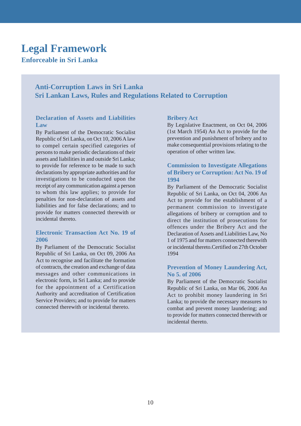### **Legal Framework**

### **Enforceable in Sri Lanka**

### **Anti-Corruption Laws in Sri Lanka Sri Lankan Laws, Rules and Regulations Related to Corruption**

### **Declaration of Assets and Liabilities Law**

By Parliament of the Democratic Socialist Republic of Sri Lanka, on Oct 10, 2006 A law to compel certain specified categories of persons to make periodic declarations of their assets and liabilities in and outside Sri Lanka; to provide for reference to be made to such declarations by appropriate authorities and for investigations to be conducted upon the receipt of any communication against a person to whom this law applies; to provide for penalties for non-declaration of assets and liabilities and for false declarations; and to provide for matters connected therewith or incidental thereto.

### **Electronic Transaction Act No. 19 of 2006**

By Parliament of the Democratic Socialist Republic of Sri Lanka, on Oct 09, 2006 An Act to recognise and facilitate the formation of contracts, the creation and exchange of data messages and other communications in electronic form, in Sri Lanka; and to provide for the appointment of a Certification Authority and accreditation of Certification Service Providers; and to provide for matters connected therewith or incidental thereto.

### **Bribery Act**

By Legislative Enactment, on Oct 04, 2006 (1st March 1954) An Act to provide for the prevention and punishment of bribery and to make consequential provisions relating to the operation of other written law.

### **Commission to Investigate Allegations of Bribery or Corruption: Act No. 19 of 1994**

By Parliament of the Democratic Socialist Republic of Sri Lanka, on Oct 04, 2006 An Act to provide for the establishment of a permanent commission to investigate allegations of bribery or corruption and to direct the institution of prosecutions for offences under the Bribery Act and the Declaration of Assets and Liabilities Law, No 1 of 1975 and for matters connected therewith or incidental thereto.Certified on 27th October 1994

### **Prevention of Money Laundering Act, No 5. of 2006**

By Parliament of the Democratic Socialist Republic of Sri Lanka, on Mar 06, 2006 An Act to prohibit money laundering in Sri Lanka; to provide the necessary measures to combat and prevent money laundering; and to provide for matters connected therewith or incidental thereto.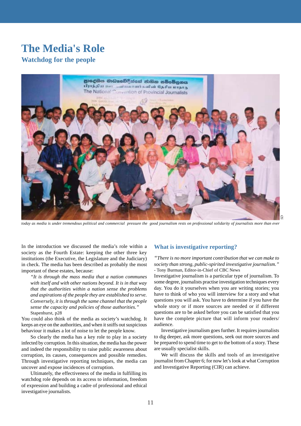### **The Media's Role**

### **Watchdog for the people**

![](_page_10_Picture_2.jpeg)

*today as media is under tremendous political and commercial pressure the good journalism rests on professional solidarity of journalists more than ever*

In the introduction we discussed the media's role within a society as the Fourth Estate: keeping the other three key institutions (the Executive, the Legislature and the Judiciary) in check. The media has been described as probably the most important of these estates, because:

*"It is through the mass media that a nation communes with itself and with other nations beyond. It is in that way that the authorities within a nation sense the problems and aspirations of the people they are established to serve. Conversely, it is through the same channel that the people sense the capacity and policies of those authorities."* Stapenhurst, p28

You could also think of the media as society's watchdog. It keeps an eye on the authorities, and when it sniffs out suspicious behaviour it makes a lot of noise to let the people know.

So clearly the media has a key role to play in a society infected by corruption. In this situation, the media has the power and indeed the responsibility to raise public awareness about corruption, its causes, consequences and possible remedies. Through investigative reporting techniques, the media can uncover and expose incidences of corruption.

Ultimately, the effectiveness of the media in fulfilling its watchdog role depends on its access to information, freedom of expression and building a cadre of professional and ethical investigative journalists.

#### **What is investigative reporting?**

*"There is no more important contribution that we can make to society than strong, public-spirited investigative journalism."* - Tony Burman, Editor-in-Chief of CBC News

Investigative journalism is a particular type of journalism. To some degree, journalists practise investigation techniques every day. You do it yourselves when you are writing stories; you have to think of who you will interview for a story and what questions you will ask. You have to determine if you have the whole story or if more sources are needed or if different questions are to be asked before you can be satisfied that you have the complete picture that will inform your readers/ audience.

Investigative journalism goes further. It requires journalists to dig deeper, ask more questions, seek out more sources and be prepared to spend time to get to the bottom of a story. These are usually specialist skills.

We will discuss the skills and tools of an investigative journalist from Chapter 6; for now let's look at what Corruption and Investigative Reporting (CIR) can achieve.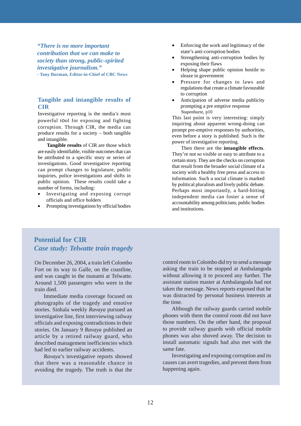*"There is no more important contribution that we can make to society than strong, public-spirited investigative journalism."* **- Tony Burman, Editor-in-Chief of CBC News**

### **Tangible and intangible results of CIR**

Investigative reporting is the media's most powerful tool for exposing and fighting corruption. Through CIR, the media can produce results for a society – both tangible and intangible.

**Tangible results** of CIR are those which are easily identifiable, visible outcomes that can be attributed to a specific story or series of investigations. Good investigative reporting can prompt changes to legislature, public inquiries, police investigations and shifts in public opinion. These results could take a number of forms, including:

- Investigating and exposing corrupt officials and office holders
- Prompting investigations by official bodies
- Enforcing the work and legitimacy of the state's anti-corruption bodies
- Strengthening anti-corruption bodies by exposing their flaws
- Helping shape public opinion hostile to sleaze in government
- Pressure for changes to laws and regulations that create a climate favourable to corruption
- Anticipation of adverse media publicity prompting a pre emptive response Stapenhurst, p10

This last point is very interesting: simply inquiring about apparent wrong-doing can prompt pre-emptive responses by authorities, even before a story is published. Such is the power of investigative reporting.

Then there are the **intangible effects**. They're not so visible or easy to attribute to a certain story. They are the checks on corruption that result from the broader social climate of a society with a healthy free press and access to information. Such a social climate is marked by political pluralism and lively public debate. Perhaps most importantly, a hard-hitting independent media can foster a sense of accountability among politicians, public bodies and institutions.

### **Potential for CIR** *Case study: Telwatte train tragedy*

On December 26, 2004, a train left Colombo Fort on its way to Galle, on the coastline, and was caught in the tsunami at Telwatte. Around 1,500 passengers who were in the train died.

Immediate media coverage focused on photographs of the tragedy and emotive stories. Sinhala weekly *Ravaya* pursued an investigative line, first interviewing railway officials and exposing contradictions in their stories. On January 9 *Ravaya* published an article by a retired railway guard, who described management inefficiencies which had led to earlier railway accidents.

*Ravaya*'s investigative reports showed that there was a reasonable chance in avoiding the tragedy. The truth is that the control room in Colombo did try to send a message asking the train to be stopped at Ambalangoda without allowing it to proceed any further. The assistant station master at Ambalangoda had not taken the message. News reports exposed that he was distracted by personal business interests at the time.

Although the railway guards carried mobile phones with them the control room did not have those numbers. On the other hand, the proposal to provide railway guards with official mobile phones was also shoved away. The decision to install automatic signals had also met with the same fate.

Investigating and exposing corruption and its causes can avert tragedies, and prevent them from happening again.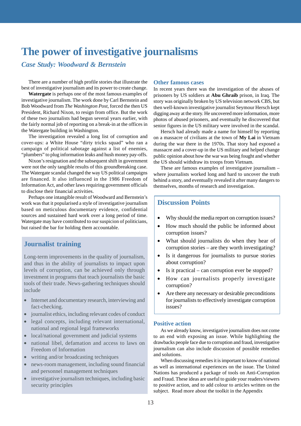### **The power of investigative journalisms**

*Case Study: Woodward & Bernstein*

There are a number of high profile stories that illustrate the best of investigative journalism and its power to create change.

**Watergate** is perhaps one of the most famous examples of investigative journalism. The work done by Carl Bernstein and Bob Woodward from *The Washington Post*, forced the then US President, Richard Nixon, to resign from office. But the work of these two journalists had begun several years earlier, with the fairly normal job of reporting on a break-in at the offices in the Watergate building in Washington.

The investigation revealed a long list of corruption and cover-ups: a White House "dirty tricks squad" who ran a campaign of political sabotage against a list of enemies, "plumbers" to plug information leaks and hush money pay-offs.

Nixon's resignation and the subsequent shift in government were not the only tangible results of this groundbreaking case. The Watergate scandal changed the way US political campaigns are financed. It also influenced in the 1986 Freedom of Information Act, and other laws requiring government officials to disclose their financial activities.

Perhaps one intangible result of Woodward and Bernstein's work was that it popularised a style of investigative journalism based on meticulous documentary evidence, confidential sources and sustained hard work over a long period of time. Watergate may have contributed to our suspicion of politicians, but raised the bar for holding them accountable.

### **Journalist training**

Long-term improvements in the quality of journalism, and thus in the ability of journalists to impact upon levels of corruption, can be achieved only through investment in programs that teach journalists the basic tools of their trade. News-gathering techniques should include

- Internet and documentary research, interviewing and fact-checking.
- journalist ethics, including relevant codes of conduct
- legal concepts, including relevant international, national and regional legal frameworks
- local/national government and judicial systems
- national libel, defamation and access to laws on Freedom of Information
- writing and/or broadcasting techniques
- news-room management, including sound financial and personnel management techniques
- investigative journalism techniques, including basic security principles

#### **Other famous cases**

In recent years there was the investigation of the abuses of prisoners by US soldiers at **Abu Ghraib** prison, in Iraq. The story was originally broken by US television network CBS, but then well-known investigative journalist Seymour Hersch kept digging away at the story. He uncovered more information, more photos of abused prisoners, and eventually he discovered that senior figures in the US military were involved in the scandal.

Hersch had already made a name for himself by reporting on a massacre of civilians at the town of **My Lai** in Vietnam during the war there in the 1970s. That story had exposed a massacre and a cover-up in the US military and helped change public opinion about how the war was being fought and whether the US should withdraw its troops from Vietnam.

These are famous examples of investigative journalism – where journalists worked long and hard to uncover the truth behind a story, and eventually revealed it after many dangers to themselves, months of research and investigation.

### **Discussion Points**

- Why should the media report on corruption issues?
- How much should the public be informed about corruption issues?
- What should journalists do when they hear of corruption stories – are they worth investigating?
- Is it dangerous for journalists to pursue stories about corruption?
- Is it practical can corruption ever be stopped?
- How can journalists properly investigate corruption?
- Are there any necessary or desirable preconditions for journalists to effectively investigate corruption issues?

### **Positive action**

As we already know, investigative journalism does not come to an end with exposing an issue. While highlighting the drawbacks people face due to corruption and fraud, investigative journalism can also include discussion of possible remedies and solutions.

When discussing remedies it is important to know of national as well as international experiences on the issue. The United Nations has produced a package of tools on Anti-Corruption and Fraud. These ideas are useful to guide your readers/viewers to positive action, and to add colour to articles written on the subject. Read more about the toolkit in the Appendix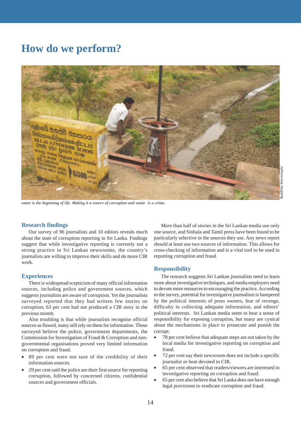### **How do we perform?**

![](_page_13_Picture_1.jpeg)

*water is the beginning of life. Making it a source of corruption and waste is a crime.*

## *Buddhika Weerasinghe* ldhika Weerasingh

#### **Research findings**

Our survey of 96 journalists and 10 editors reveals much about the state of corruption reporting in Sri Lanka. Findings suggest that while investigative reporting is currently not a strong practice in Sri Lankan newsrooms, the country's journalists are willing to improve their skills and do more CIR work.

#### **Experiences**

There is widespread scepticism of many official information sources, including police and government sources, which suggests journalists are aware of corruption. Yet the journalists surveyed reported that they had written few stories on corruption; 63 per cent had not produced a CIR story in the previous month.

Also troubling is that while journalists recognise official sources as flawed, many still rely on them for information. Those surveyed believe the police, government departments, the Commission for Investigation of Fraud & Corruption and nongovernmental organisations proved very limited information on corruption and fraud.

- 89 per cent were not sure of the credibility of their information sources.
- 29 per cent said the police are their first source for reporting corruption, followed by concerned citizens, confidential sources and government officials.

More than half of stories in the Sri Lankan media use only one source, and Sinhala and Tamil press have been found to be particularly selective in the sources they use. Any news report should at least use two sources of information. This allows for cross-checking of information and is a vital tool to be used in reporting corruption and fraud.

#### **Responsibility**

The research suggests Sri Lankan journalists need to learn more about investigative techniques, and media employers need to devote more resources to encouraging the practice. According to the survey, potential for investigative journalism is hampered by the political interests of press owners, fear of revenge, difficulty in collecting adequate information, and editors' political interests. Sri Lankan media seem to bear a sense of responsibility for exposing corruption, but many are cynical about the mechanisms in place to prosecute and punish the corrupt.

- 78 per cent believe that adequate steps are not taken by the local media for investigative reporting on corruption and fraud.
- 72 per cent say their newsroom does not include a specific journalist or beat devoted to CIR.
- 65 per cent observed that readers/viewers are interested in investigative reporting on corruption and fraud.
- 65 per cent also believe that Sri Lanka does not have enough legal provisions to eradicate corruption and fraud.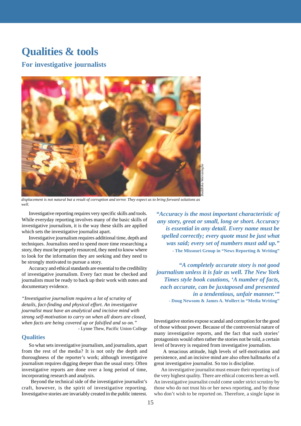### **Qualities & tools**

**For investigative journalists**

![](_page_14_Picture_2.jpeg)

*displacement is not natural but a result of corruption and terror. They expect us to bring forward solutions as well.*

Investigative reporting requires very specific skills and tools. While everyday reporting involves many of the basic skills of investigative journalism, it is the way these skills are applied which sets the investigative journalist apart.

Investigative journalism requires additional time, depth and techniques. Journalists need to spend more time researching a story, they must be properly resourced, they need to know where to look for the information they are seeking and they need to be strongly motivated to pursue a story.

Accuracy and ethical standards are essential to the credibility of investigative journalism. Every fact must be checked and journalists must be ready to back up their work with notes and documentary evidence.

*"Investigative journalism requires a lot of scrutiny of details, fact-finding and physical effort. An investigative journalist must have an analytical and incisive mind with strong self-motivation to carry on when all doors are closed, when facts are being covered up or falsified and so on."* - Lynne Thew, Pacific Union College

**Qualities**

So what sets investigative journalism, and journalists, apart from the rest of the media? It is not only the depth and thoroughness of the reporter's work; although investigative journalism requires digging deeper than the usual story. Often investigative reports are done over a long period of time, incorporating research and analysis.

Beyond the technical side of the investigative journalist's craft, however, is the spirit of investigative reporting. Investigative stories are invariably created in the public interest. *"Accuracy is the most important characteristic of any story, great or small, long or short. Accuracy is essential in any detail. Every name must be spelled correctly; every quote must be just what was said; every set of numbers must add up."* **- The Missouri Group in "News Reporting & Writing"**

*"A completely accurate story is not good journalism unless it is fair as well. The New York Times style book cautions, 'A number of facts, each accurate, can be juxtaposed and presented in a tendentious, unfair manner.'"* **- Doug Newsom & James A. Wollert in "Media Writing"** who don't wish the most important characteristic of the position of the report of the report of the sential in any detail. Every name must be *selected correctly; every quote must be just what* we select correctly; every q

Investigative stories expose scandal and corruption for the good of those without power. Because of the controversial nature of many investigative reports, and the fact that such stories' protagonists would often rather the stories not be told, a certain level of bravery is required from investigative journalists.

A tenacious attitude, high levels of self-motivation and persistence, and an incisive mind are also often hallmarks of a great investigative journalist. So too is discipline.

An investigative journalist must ensure their reporting is of the very highest quality. There are ethical concerns here as well. An investigative journalist could come under strict scrutiny by those who do not trust his or her news reporting, and by those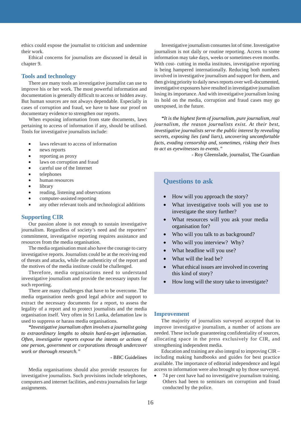ethics could expose the journalist to criticism and undermine their work.

Ethical concerns for journalists are discussed in detail in chapter 9.

#### **Tools and technology**

There are many tools an investigative journalist can use to improve his or her work. The most powerful information and documentation is generally difficult to access or hidden away. But human sources are not always dependable. Especially in cases of corruption and fraud, we have to base our proof on documentary evidence to strengthen our reports.

When exposing information from state documents, laws pertaining to access of information if any, should be utilised. Tools for investigative journalists include:

- laws relevant to access of information
- news reports
- reporting as proxy
- laws on corruption and fraud
- careful use of the Internet
- telephones
- human resources
- library
- reading, listening and observations
- computer-assisted reporting
- any other relevant tools and technological additions

#### **Supporting CIR**

Our passion alone is not enough to sustain investigative journalism. Regardless of society's need and the reporters' commitment, investigative reporting requires assistance and resources from the media organisation.

The media organisation must also have the courage to carry investigative reports. Journalists could be at the receiving end of threats and attacks, while the authenticity of the report and the motives of the media institute could be challenged.

Therefore, media organisations need to understand investigative journalism and provide the necessary inputs for such reporting.

There are many challenges that have to be overcome. The media organisation needs good legal advice and support to extract the necessary documents for a report, to assess the legality of a report and to protect journalists and the media organisation itself. Very often in Sri Lanka, defamation law is used to suppress or harass media organisations.

*"Investigative journalism often involves a journalist going to extraordinary lengths to obtain hard-to-get information. Often, investigative reports expose the intents or actions of one person, government or corporations through undercover work or thorough research."*

- BBC Guidelines

Media organisations should also provide resources for investigative journalists. Such provisions include telephones, computers and internet facilities, and extra journalists for large assignments.

Investigative journalism consumes lot of time. Investigative journalism is not daily or routine reporting. Access to some information may take days, weeks or sometimes even months. With cost- cutting in media institutes, investigative reporting is being hampered internationally. Reducing both numbers involved in investigative journalism and support for them, and then giving priority to daily news reports over well-documented, investigative exposures have resulted in investigative journalism losing its importance. And with investigative journalism losing its hold on the media, corruption and fraud cases may go unexposed, in the future.

*"It is the highest form of journalism, pure journalism, real journalism, the reason journalists exist. At their best, investigative journalists serve the public interest by revealing secrets, exposing lies (and liars), uncovering uncomfortable facts, evading censorship and, sometimes, risking their lives to act as eyewitnesses to events."*

- Roy Gleenslade, journalist, The Guardian

### **Questions to ask**

- How will you approach the story?
- What investigative tools will you use to investigate the story further?
- What resources will you ask your media organisation for?
- Who will you talk to as background?
- Who will you interview? Why?
- What headline will you use?
- What will the lead be?
- What ethical issues are involved in covering this kind of story?
- How long will the story take to investigate?

#### **Improvement**

The majority of journalists surveyed accepted that to improve investigative journalism, a number of actions are needed. These include guaranteeing confidentiality of sources, allocating space in the press exclusively for CIR, and strengthening independent media.

Education and training are also integral to improving CIR – including making handbooks and guides for best practice available. The importance of editorial independence and legal access to information were also brought up by those surveyed.

• 74 per cent have had no investigative journalism training. Others had been to seminars on corruption and fraud conducted by the police.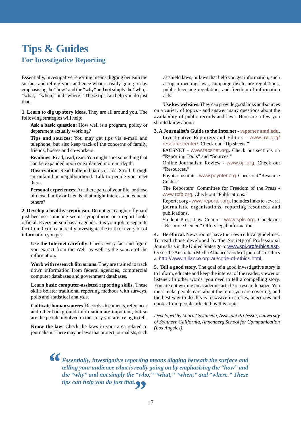### **Tips & Guides For Investigative Reporting**

Essentially, investigative reporting means digging beneath the surface and telling your audience what is really going on by emphasising the "how" and the "why" and not simply the "who," "what," "when," and "where." These tips can help you do just that.

**1. Learn to dig up story ideas**. They are all around you. The following strategies will help:

**Ask a basic question**: How well is a program, policy or department actually working?

**Tips and sources**: You may get tips via e-mail and telephone, but also keep track of the concerns of family, friends, bosses and co-workers.

**Readings**: Read, read, read. You might spot something that can be expanded upon or explained more in-depth.

**Observation**: Read bulletin boards or ads. Stroll through an unfamiliar neighbourhood. Talk to people you meet there.

**Personal experiences**: Are there parts of your life, or those of close family or friends, that might interest and educate others?

**2. Develop a healthy scepticism**. Do not get caught off guard just because someone seems sympathetic or a report looks official. Every person has an agenda. It is your job to separate fact from fiction and really investigate the truth of every bit of information you get.

**Use the Internet carefully**. Check every fact and figure you extract from the Web, as well as the source of the information.

**Work with research librarians**. They are trained to track down information from federal agencies, commercial computer databases and government databases.

**Learn basic computer-assisted reporting skills**. These skills bolster traditional reporting methods with surveys, polls and statistical analysis.

**Cultivate human sources**. Records, documents, references and other background information are important, but so are the people involved in the story you are trying to tell.

**Know the law**. Check the laws in your area related to journalism. There may be laws that protect journalists, such

as shield laws, or laws that help you get information, such as open meeting laws, campaign disclosure regulations, public licensing regulations and freedom of information acts.

**Use key websites**. They can provide good links and sources on a variety of topics - and answer many questions about the availability of public records and laws. Here are a few you should know about:

**3. A Journalist's Guide to the Internet - reporter.umd.edu.** Investigative Reporters and Editors - www.ire.org/

resourcecenter/. Check out "Tip sheets."

FACSNET - www.facsnet.org. Check out sections on "Reporting Tools" and "Sources."

Online Journalism Review - www.ojr.org. Check out "Resources."

Poynter Institute - www.poynter.org. Check out "Resource Center."

The Reporters' Committee for Freedom of the Press www.rcfp.org. Check out "Publications."

Reporter.org - www.reporter.org. Includes links to several journalistic organisations, reporting resources and publications.

Student Press Law Center - www.splc.org. Check out "Resource Center." Offers legal information.

**4. Be ethical.** News rooms have their own ethical guidelines. To read those developed by the Society of Professional Journalists in the United States go to www.spj.org/ethics.asp. Or see the Australian Media Alliance's code of journalism ethics at http://www.alliance.org.au/code-of-ethics.html.

**5. Tell a good story**. The goal of a good investigative story is to inform, educate and keep the interest of the reader, viewer or listener. In other words, you need to tell a compelling story. You are not writing an academic article or research paper. You must make people care about the topic you are covering, and the best way to do this is to weave in stories, anecdotes and quotes from people affected by this topic.

*Developed by Laura Castañeda, Assistant Professor, University of Southern California, Annenberg School for Communication (Los Angeles).*

*Essentially, investigative reporting means digging beneath the surface and telling your audience what is really going on by emphasising the "how" and the "why" and not simply the "who," "what," "when," and "where." These tips can help you do just that." "*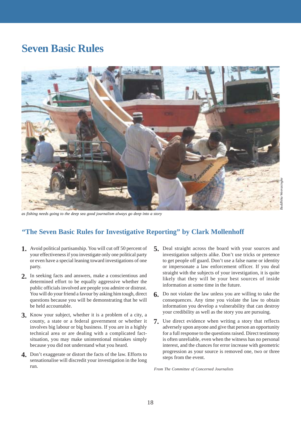### **Seven Basic Rules**

![](_page_17_Picture_1.jpeg)

*as fishing needs going to the deep sea good journalism always go deep into a story*

### **"The Seven Basic Rules for Investigative Reporting" by Clark Mollenhoff**

- Avoid political partisanship. You will cut off 50 percent of **1.** your effectiveness if you investigate only one political party or even have a special leaning toward investigations of one party.
- In seeking facts and answers, make a conscientious and **2.** determined effort to be equally aggressive whether the public officials involved are people you admire or distrust. You will do your friend a favour by asking him tough, direct questions because you will be demonstrating that he will be held accountable.
- Know your subject, whether it is a problem of a city, a **3.** county, a state or a federal government or whether it involves big labour or big business. If you are in a highly technical area or are dealing with a complicated factsituation, you may make unintentional mistakes simply because you did not understand what you heard.
- Don't exaggerate or distort the facts of the law. Efforts to **4.** sensationalise will discredit your investigation in the long run.
- Deal straight across the board with your sources and **5.** investigation subjects alike. Don't use tricks or pretence to get people off guard. Don't use a false name or identity or impersonate a law enforcement officer. If you deal straight with the subjects of your investigation, it is quite likely that they will be your best sources of inside information at some time in the future.
- Do not violate the law unless you are willing to take the **6.** consequences. Any time you violate the law to obtain information you develop a vulnerability that can destroy your credibility as well as the story you are pursuing.
- Use direct evidence when writing a story that reflects **7.**adversely upon anyone and give that person an opportunity for a full response to the questions raised. Direct testimony is often unreliable, even when the witness has no personal interest, and the chances for error increase with geometric progression as your source is removed one, two or three steps from the event.

*From The Committee of Concerned Journalists*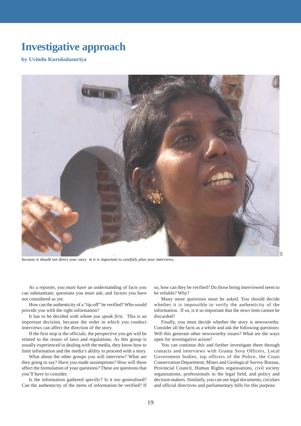### **Investigative approach**

### **by Uvindu Kurukulasuriya**

![](_page_18_Picture_2.jpeg)

*because it should not direct your story m it is important to carefully plan your interviews,*

As a reporter, you must have an understanding of facts you can substantiate; questions you must ask; and factors you have not considered as yet.

How can the authenticity of a "tip-off" be verified? Who would provide you with the right information?

It has to be decided with *whom you speak first.* This is an important decision, because the order in which you conduct interviews can affect the direction of the story.

If the first stop is the officials, the perspective you get will be related to the issues of laws and regulations. As this group is usually experienced in dealing with the media, they know how to limit information and the media's ability to proceed with a story.

What about the other groups you will interview? What are they going to say? Have you made assumptions? How will these affect the formulation of your questions? These are questions that you'll have to consider.

Is the information gathered specific? Is it too generalised? Can the authenticity of the items of information be verified? If

so, how can they be verified? Do those being interviewed seem to be reliable? Why?

Many more questions must be asked. You should decide whether it is impossible to verify the authenticity of the information. If so, is it so important that the news item cannot be discarded?

Finally, you must decide whether the story is newsworthy. Consider all the facts as a whole and ask the following questions: Will this generate other newsworthy issues? What are the ways open for investigative action?

You can continue this and further investigate them through contacts and interviews with Grama Seva Officers, Local Government bodies, top officers of the Police, the Coast Conservation Department, Mines and Geological Survey Bureau, Provincial Council, Human Rights organisations, civil society organisations, professionals in the legal field, and policy and decision makers. Similarly, you can use legal documents, circulars and official directives and parliamentary bills for this purpose.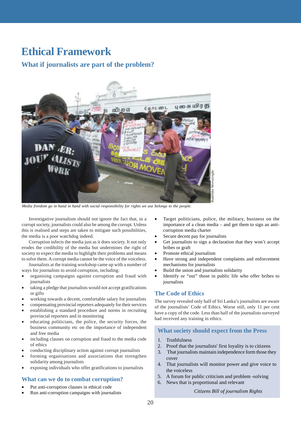### **Ethical Framework**

### **What if journalists are part of the problem?**

![](_page_19_Picture_2.jpeg)

*Media freedom go in hand in hand with social responsibility for rights we use belongs to the people.*

Investigative journalism should not ignore the fact that, in a corrupt society, journalists could also be among the corrupt. Unless this is realised and steps are taken to mitigate such possibilities, the media is a poor watchdog indeed.

Corruption infects the media just as it does society. It not only erodes the credibility of the media but undermines the right of society to expect the media to highlight their problems and means to solve them. A corrupt media cannot be the voice of the voiceless.

Journalists at the training workshop came up with a number of ways for journalists to avoid corruption, including:

- organising campaigns against corruption and fraud with journalists
- taking a pledge that journalists would not accept gratifications or gifts
- working towards a decent, comfortable salary for journalists
- compensating provincial reporters adequately for their services
- establishing a standard procedure and norms in recruiting provincial reporters and in monitoring
- educating politicians, the police, the security forces, the business community etc on the importance of independent and free media
- including clauses on corruption and fraud to the media code of ethics
- conducting disciplinary action against corrupt journalists
- forming organisations and associations that strengthen solidarity among journalists
- exposing individuals who offer gratifications to journalists

### **What can we do to combat corruption?**

- Put anti-corruption clauses in ethical code
- Run anti-corruption campaigns with journalists
- Target politicians, police, the military, business on the importance of a clean media – and get them to sign an anticorruption media charter
- Secure decent pay for journalists
- Get journalists to sign a declaration that they won't accept bribes or graft
- Promote ethical journalism
- Have strong and independent complaints and enforcement mechanisms for journalists
- Build the union and journalists solidarity
- Identify or "out" those in public life who offer bribes to journalists

#### **The Code of Ethics**

The survey revealed only half of Sri Lanka's journalists are aware of the journalists' Code of Ethics. Worse still, only 11 per cent have a copy of the code. Less than half of the journalists surveyed had received any training in ethics.

#### **What society should expect from the Press**

- 1. Truthfulness
- 2. Proof that the journalists' first loyality is to citizens
- 3. That journalists maintain independence form those they cover
- 4. That journalists will monitor power and give voice to the voiceless
- 5. A forum for public criticism and problem -solving
- 6. News that is proportional and relevant

#### *Citizens Bill of journalism Rights*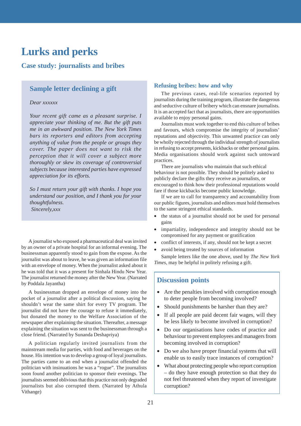### **Lurks and perks**

### **Case study: journalists and bribes**

### **Sample letter declining a gift**

#### *Dear xxxxxx*

*Your recent gift came as a pleasant surprise. I appreciate your thinking of me. But the gift puts me in an awkward position. The New York Times bars its reporters and editors from accepting anything of value from the people or groups they cover. The paper does not want to risk the perception that it will cover a subject more thoroughly or skew its coverage of controversial subjects because interested parties have expressed appreciation for its efforts.*

*So I must return your gift with thanks. I hope you understand our position, and I thank you for your thoughtfulness. Sincerely,xxx*

A journalist who exposed a pharmaceutical deal was invited by an owner of a private hospital for an informal evening. The businessman apparently stood to gain from the expose. As the journalist was about to leave, he was given an information file with an envelope of money. When the journalist asked about it he was told that it was a present for Sinhala Hindu New Year. The journalist returned the money after the New Year. (Narrated by Poddala Jayantha)

A businessman dropped an envelope of money into the pocket of a journalist after a political discussion, saying he shouldn't wear the same shirt for every TV program. The journalist did not have the courage to refuse it immediately, but donated the money to the Welfare Association of the newspaper after explaining the situation. Thereafter, a message explaining the situation was sent to the businessman through a close friend. (Narrated by Sunanda Deshapriya)

A politician regularly invited journalists from the mainstream media for parties, with food and beverages on the house. His intention was to develop a group of loyal journalists. The parties came to an end when a journalist offended the politician with insinuations he was a "rogue". The journalists soon found another politician to sponsor their evenings. The journalists seemed oblivious that this practice not only degraded journalists but also corrupted them. (Narrated by Athula Vithange)

### **Refusing bribes: how and why**

The previous cases, real-life scenarios reported by journalists during the training program, illustrate the dangerous and seductive culture of bribery which can ensnare journalists. It is an accepted fact that as journalists, there are opportunities available to enjoy personal gains.

Journalists must work together to end this culture of bribes and favours, which compromise the integrity of journalists' reputations and objectivity. This unwanted practice can only be wholly rejected through the individual strength of journalists in refusing to accept presents, kickbacks or other personal gains. Media organisations should work against such untoward practices.

There are journalists who maintain that such ethical behaviour is not possible. They should be politely asked to publicly declare the gifts they receive as journalists, or encouraged to think how their professional reputations would fare if those kickbacks become public knowledge.

If we are to call for transparency and accountability from our public figures, journalists and editors must hold themselves to the same stringent ethical standards.

- the status of a journalist should not be used for personal gains
- impartiality, independence and integrity should not be compromised for any payment or gratification
- conflict of interests, if any, should not be kept a secret
- avoid being treated by sources of information

Sample letters like the one above, used by *The New York Times*, may be helpful in politely refusing a gift.

### **Discussion points**

- Are the penalties involved with corruption enough to deter people from becoming involved?
- Should punishments be harsher than they are?
- If all people are paid decent fair wages, will they be less likely to become involved in corruption?
- Do our organisations have codes of practice and behaviour to prevent employees and managers from becoming involved in corruption?
- Do we also have proper financial systems that will enable us to easily trace instances of corruption?
- What about protecting people who report corruption – do they have enough protection so that they do not feel threatened when they report of investigate corruption?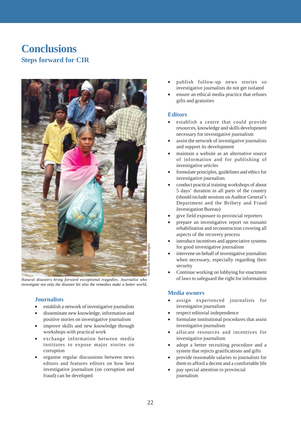### **Conclusions Steps forward for CIR**

![](_page_21_Picture_1.jpeg)

*Natural disasters bring forward exceptional tragedies. Journalist who investigate not only the disaster bit also the remedies make a better world,*

### **Journalists**

- establish a network of investigative journalists
- disseminate new knowledge, information and positive stories on investigative journalism
- improve skills and new knowledge through workshops with practical work
- exchange information between media institutes to expose major stories on corruption
- organise regular discussions between news editors and features editors on how best investigative journalism (on corruption and fraud) can be developed
- publish follow-up news stories so investigative journalists do not get isolated
- ensure an ethical media practice that refuses gifts and gratuities

### **Editors**

- establish a centre that could provide resources, knowledge and skills development necessary for investigative journalism
- assist the network of investigative journalists and support its development
- maintain a website as an alternative source of information and for publishing of investigative articles
- formulate principles, guidelines and ethics for investigative journalists
- conduct practical training workshops of about 5 days' duration in all parts of the country (should include sessions on Auditor General's Department and the Bribery and Fraud Investigation Bureau)
- give field exposure to provincial reporters
- prepare an investigative report on tsunami rehabilitation and reconstruction covering all aspects of the recovery process
- introduce incentives and appreciative systems for good investigative journalism
- intervene on behalf of investigative journalists when necessary, especially regarding their security
- Continue working on lobbying for enactment of laws to safeguard the right for information

### **Media owners**

- assign experienced journalists for investigative journalism
- respect editorial independence
- formulate institutional procedures that assist investigative journalism
- allocate resources and incentives for investigative journalism
- adopt a better recruiting procedure and a system that rejects gratifications and gifts
- provide reasonable salaries to journalists for them to afford a decent and a comfortable life
- pay special attention to provincial journalism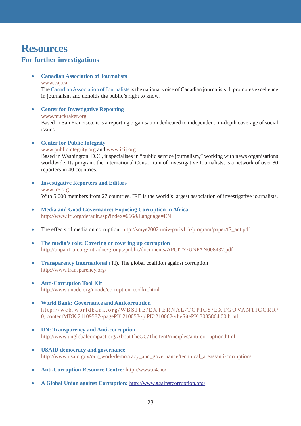### **Resources**

### **For further investigations**

- **Canadian Association of Journalists**
	- www.caj.ca

The Canadian Association of Journalists is the national voice of Canadian journalists. It promotes excellence in journalism and upholds the public's right to know.

• **Center for Investigative Reporting** www.muckraker.org

Based in San Francisco, it is a reporting organisation dedicated to independent, in-depth coverage of social issues.

### • **Center for Public Integrity**

www.publicintegrity.org and www.icij.org Based in Washington, D.C., it specialises in "public service journalism," working with news organisations worldwide. Its program, the International Consortium of Investigative Journalists, is a network of over 80 reporters in 40 countries.

- **Investigative Reporters and Editors** www.ire.org With 5,000 members from 27 countries, IRE is the world's largest association of investigative journalists.
- **Media and Good Governance: Exposing Corruption in Africa** http://www.ifj.org/default.asp?index=666&Language=EN
- The effects of media on corruption: http://smye2002.univ-paris1.fr/program/paper/f7\_ant.pdf
- **The media's role: Covering or covering up corruption** http://unpan1.un.org/intradoc/groups/public/documents/APCITY/UNPAN008437.pdf
- **Transparency International** (TI). The global coalition against corruption http://www.transparency.org/
- **Anti-Corruption Tool Kit** http://www.unodc.org/unodc/corruption\_toolkit.html
- **World Bank: Governance and Anticorruption** http://web.worldbank.org/WBSITE/EXTERNAL/TOPICS/EXTGOVANTICORR/ 0,,contentMDK:21109587~pagePK:210058~piPK:210062~theSitePK:3035864,00.html
- **UN: Transparency and Anti-corruption** http://www.unglobalcompact.org/AboutTheGC/TheTenPrinciples/anti-corruption.html
- **USAID democracy and governance** http://www.usaid.gov/our\_work/democracy\_and\_governance/technical\_areas/anti-corruption/
- **Anti-Corruption Resource Centre:** http://www.u4.no/
- **A Global Union against Corruption:** http://www.againstcorruption.org/